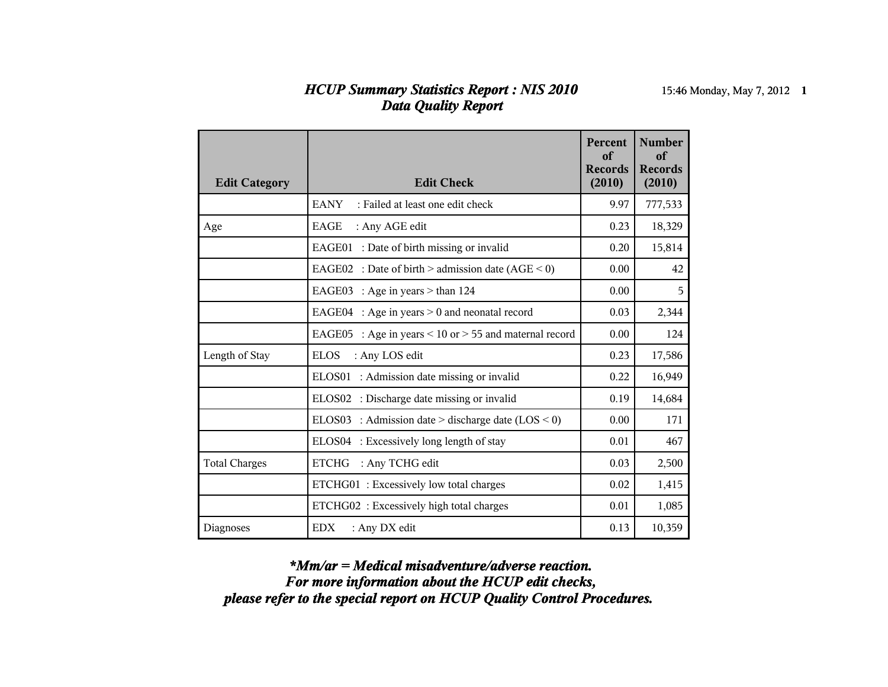## *HCUP Summary Statistics Report : NIS 2010* 15:46 Monday, May 7, 2012 **1** *Data Quality Report*

| <b>Edit Category</b> | <b>Edit Check</b>                                                | <b>Percent</b><br>of<br><b>Records</b><br>(2010) | <b>Number</b><br>of<br><b>Records</b><br>(2010) |
|----------------------|------------------------------------------------------------------|--------------------------------------------------|-------------------------------------------------|
|                      | <b>EANY</b><br>: Failed at least one edit check                  | 9.97                                             | 777,533                                         |
| Age                  | <b>EAGE</b><br>: Any AGE edit                                    | 0.23                                             | 18,329                                          |
|                      | EAGE01 : Date of birth missing or invalid                        | 0.20                                             | 15,814                                          |
|                      | EAGE02 : Date of birth > admission date $(AGE < 0)$              | 0.00                                             | 42                                              |
|                      | : Age in years $>$ than 124<br>EAGE03                            | 0.00                                             | 5                                               |
|                      | : Age in years $> 0$ and neonatal record<br>EAGE04               | 0.03                                             | 2,344                                           |
|                      | EAGE05<br>: Age in years $\leq 10$ or $> 55$ and maternal record | 0.00                                             | 124                                             |
| Length of Stay       | <b>ELOS</b><br>: Any LOS edit                                    | 0.23                                             | 17,586                                          |
|                      | ELOS01<br>: Admission date missing or invalid                    | 0.22                                             | 16,949                                          |
|                      | : Discharge date missing or invalid<br>ELOS <sub>02</sub>        | 0.19                                             | 14,684                                          |
|                      | ELOS03 : Admission date > discharge date $(LOS < 0)$             | 0.00                                             | 171                                             |
|                      | ELOS04 : Excessively long length of stay                         | 0.01                                             | 467                                             |
| <b>Total Charges</b> | <b>ETCHG</b><br>: Any TCHG edit                                  | 0.03                                             | 2,500                                           |
|                      | ETCHG01: Excessively low total charges                           | 0.02                                             | 1,415                                           |
|                      | ETCHG02: Excessively high total charges                          | 0.01                                             | 1,085                                           |
| Diagnoses            | <b>EDX</b><br>: Any DX edit                                      | 0.13                                             | 10,359                                          |

*please refer to the special report on HCUP Quality Control Procedures. For more information about the HCUP edit checks, \*Mm/ar = Medical misadventure/adverse reaction.*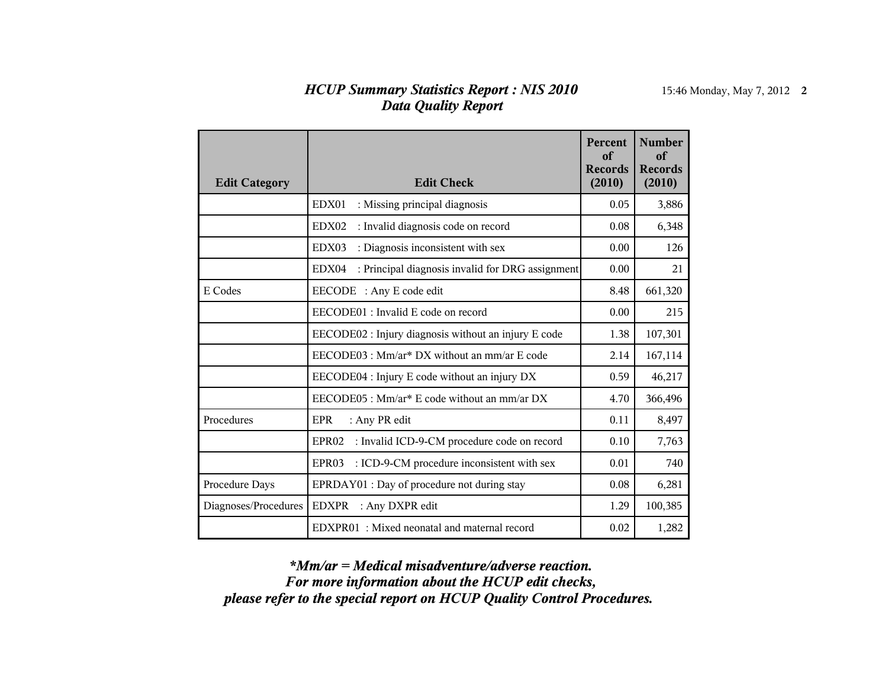## *HCUP Summary Statistics Report : NIS 2010* 15:46 Monday, May 7, 2012 **2** *Data Quality Report*

| <b>Edit Category</b> | <b>Edit Check</b>                                                | <b>Percent</b><br>of<br><b>Records</b><br>(2010) | <b>Number</b><br>of<br><b>Records</b><br>(2010) |
|----------------------|------------------------------------------------------------------|--------------------------------------------------|-------------------------------------------------|
|                      | : Missing principal diagnosis<br>EDX01                           | 0.05                                             | 3,886                                           |
|                      | : Invalid diagnosis code on record<br>EDX02                      | 0.08                                             | 6,348                                           |
|                      | EDX03<br>: Diagnosis inconsistent with sex                       | 0.00                                             | 126                                             |
|                      | : Principal diagnosis invalid for DRG assignment<br>EDX04        | 0.00                                             | 21                                              |
| E Codes              | EECODE : Any E code edit                                         | 8.48                                             | 661,320                                         |
|                      | EECODE01 : Invalid E code on record                              | 0.00                                             | 215                                             |
|                      | EECODE02 : Injury diagnosis without an injury E code             | 1.38                                             | 107,301                                         |
|                      | EECODE03 : Mm/ar* DX without an mm/ar E code                     | 2.14                                             | 167,114                                         |
|                      | EECODE04 : Injury E code without an injury DX                    | 0.59                                             | 46,217                                          |
|                      | EECODE05 : Mm/ar* E code without an mm/ar DX                     | 4.70                                             | 366,496                                         |
| Procedures           | <b>EPR</b><br>: Any PR edit                                      | 0.11                                             | 8,497                                           |
|                      | : Invalid ICD-9-CM procedure code on record<br>EPR <sub>02</sub> | 0.10                                             | 7,763                                           |
|                      | : ICD-9-CM procedure inconsistent with sex<br>EPR03              | 0.01                                             | 740                                             |
| Procedure Days       | EPRDAY01 : Day of procedure not during stay                      | 0.08                                             | 6,281                                           |
| Diagnoses/Procedures | <b>EDXPR</b><br>: Any DXPR edit                                  | 1.29                                             | 100,385                                         |
|                      | EDXPR01: Mixed neonatal and maternal record                      | 0.02                                             | 1,282                                           |

*please refer to the special report on HCUP Quality Control Procedures. For more information about the HCUP edit checks, \*Mm/ar = Medical misadventure/adverse reaction.*